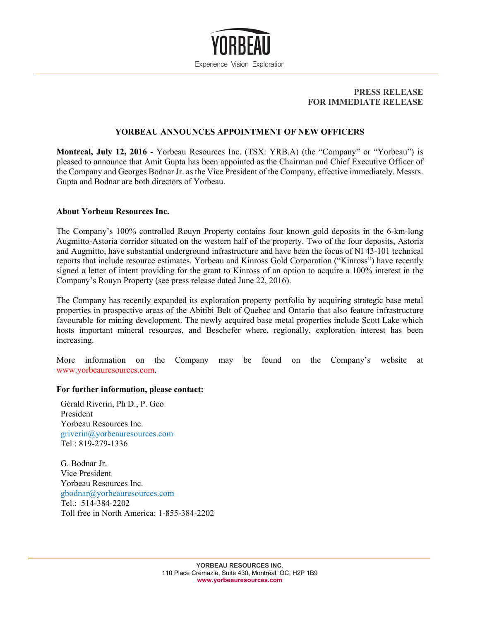

## **PRESS RELEASE FOR IMMEDIATE RELEASE**

## **YORBEAU ANNOUNCES APPOINTMENT OF NEW OFFICERS**

**Montreal, July 12, 2016** - Yorbeau Resources Inc. (TSX: YRB.A) (the "Company" or "Yorbeau") is pleased to announce that Amit Gupta has been appointed as the Chairman and Chief Executive Officer of the Company and Georges Bodnar Jr. as the Vice President of the Company, effective immediately. Messrs. Gupta and Bodnar are both directors of Yorbeau.

## **About Yorbeau Resources Inc.**

The Company's 100% controlled Rouyn Property contains four known gold deposits in the 6-km-long Augmitto-Astoria corridor situated on the western half of the property. Two of the four deposits, Astoria and Augmitto, have substantial underground infrastructure and have been the focus of NI 43-101 technical reports that include resource estimates. Yorbeau and Kinross Gold Corporation ("Kinross") have recently signed a letter of intent providing for the grant to Kinross of an option to acquire a 100% interest in the Company's Rouyn Property (see press release dated June 22, 2016).

The Company has recently expanded its exploration property portfolio by acquiring strategic base metal properties in prospective areas of the Abitibi Belt of Quebec and Ontario that also feature infrastructure favourable for mining development. The newly acquired base metal properties include Scott Lake which hosts important mineral resources, and Beschefer where, regionally, exploration interest has been increasing.

More information on the Company may be found on the Company's website at www.yorbeauresources.com.

## **For further information, please contact:**

Gérald Riverin, Ph D., P. Geo President Yorbeau Resources Inc. griverin@yorbeauresources.com Tel : 819-279-1336

G. Bodnar Jr. Vice President Yorbeau Resources Inc. gbodnar@yorbeauresources.com Tel.: 514-384-2202 Toll free in North America: 1-855-384-2202